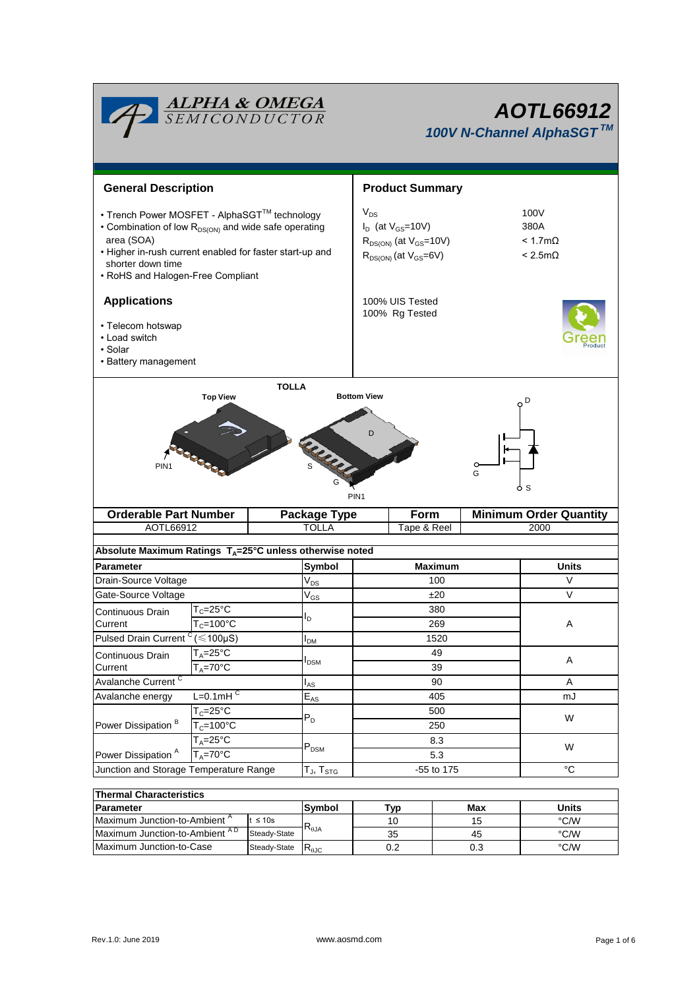|                                                                                                                                                                                                                                                      | <b>ALPHA &amp; OMEGA</b><br>SEMICONDUCTOR             |                                                                    | <b>AOTL66912</b><br>100V N-Channel AlphaSGT™                                                              |                                                          |                                    |  |  |
|------------------------------------------------------------------------------------------------------------------------------------------------------------------------------------------------------------------------------------------------------|-------------------------------------------------------|--------------------------------------------------------------------|-----------------------------------------------------------------------------------------------------------|----------------------------------------------------------|------------------------------------|--|--|
| <b>General Description</b>                                                                                                                                                                                                                           |                                                       |                                                                    | <b>Product Summary</b>                                                                                    |                                                          |                                    |  |  |
| • Trench Power MOSFET - AlphaSGT™ technology<br>• Combination of low R <sub>DS(ON)</sub> and wide safe operating<br>area (SOA)<br>• Higher in-rush current enabled for faster start-up and<br>shorter down time<br>• RoHS and Halogen-Free Compliant |                                                       |                                                                    | $V_{DS}$<br>$I_D$ (at $V_{GS}$ =10V)<br>$R_{DS(ON)}$ (at $V_{GS}$ =10V)<br>$R_{DS(ON)}$ (at $V_{GS}=6V$ ) | 100V<br>380A<br>$< 1.7 \text{m}\Omega$<br>$< 2.5m\Omega$ |                                    |  |  |
| <b>Applications</b>                                                                                                                                                                                                                                  |                                                       |                                                                    | 100% UIS Tested                                                                                           |                                                          |                                    |  |  |
| • Telecom hotswap<br>• Load switch<br>· Solar<br>• Battery management                                                                                                                                                                                |                                                       |                                                                    | 100% Rg Tested                                                                                            |                                                          |                                    |  |  |
| PIN <sub>1</sub><br><b>Orderable Part Number</b><br><b>Package Type</b>                                                                                                                                                                              |                                                       |                                                                    | G<br>PIN <sub>1</sub><br>Form                                                                             |                                                          | S<br><b>Minimum Order Quantity</b> |  |  |
| AOTL66912                                                                                                                                                                                                                                            |                                                       |                                                                    | <b>TOLLA</b><br>Tape & Reel                                                                               |                                                          | 2000                               |  |  |
|                                                                                                                                                                                                                                                      |                                                       | Absolute Maximum Ratings $T_A = 25^\circ C$ unless otherwise noted |                                                                                                           |                                                          |                                    |  |  |
| <b>Parameter</b>                                                                                                                                                                                                                                     |                                                       | <b>Symbol</b>                                                      |                                                                                                           | <b>Maximum</b>                                           | <b>Units</b>                       |  |  |
| Drain-Source Voltage                                                                                                                                                                                                                                 |                                                       | $V_{DS}$                                                           |                                                                                                           | 100                                                      | $\vee$                             |  |  |
| Gate-Source Voltage<br>Continuous Drain                                                                                                                                                                                                              | $T_c = 25$ °C                                         | $\mathsf{V}_{\mathsf{GS}}$<br>Iъ                                   |                                                                                                           | ±20<br>380                                               | $\vee$                             |  |  |
| Pulsed Drain Current <sup>C</sup>                                                                                                                                                                                                                    | $T_c = 100^{\circ}C$<br>Current<br>$(\leq 100 \mu S)$ |                                                                    |                                                                                                           | 269                                                      | A                                  |  |  |
|                                                                                                                                                                                                                                                      | $T_A = 25$ °C                                         | I <sub>DM</sub>                                                    | 1520<br>49                                                                                                |                                                          |                                    |  |  |
| Continuous Drain<br>Current                                                                                                                                                                                                                          | $T_A = 70$ °C                                         | I <sub>DSM</sub>                                                   |                                                                                                           | 39                                                       | A                                  |  |  |
| Avalanche Current <sup>C</sup>                                                                                                                                                                                                                       |                                                       | l <sub>AS</sub>                                                    | 90                                                                                                        |                                                          | A                                  |  |  |
| $L=0.1$ mH $\overline{C}$<br>Avalanche energy                                                                                                                                                                                                        |                                                       | $\mathsf{E}_{\mathsf{AS}}$                                         | 405                                                                                                       |                                                          | mJ                                 |  |  |
|                                                                                                                                                                                                                                                      | $T_c = 25$ °C                                         | $P_D$                                                              | 500                                                                                                       |                                                          | W                                  |  |  |
| Power Dissipation <sup>B</sup>                                                                                                                                                                                                                       | $T_c = 100^{\circ}C$                                  |                                                                    | 250                                                                                                       |                                                          |                                    |  |  |
|                                                                                                                                                                                                                                                      | $T_A = 25$ °C                                         | $P_{DSM}$                                                          | 8.3                                                                                                       | W                                                        |                                    |  |  |
|                                                                                                                                                                                                                                                      | $T_A = 70$ °C<br>Power Dissipation <sup>A</sup>       |                                                                    | 5.3                                                                                                       |                                                          |                                    |  |  |
| Junction and Storage Temperature Range                                                                                                                                                                                                               |                                                       | $T_J$ , $T_{STG}$                                                  | -55 to 175                                                                                                |                                                          | $^{\circ}C$                        |  |  |
| <b>Thermal Characteristics</b>                                                                                                                                                                                                                       |                                                       |                                                                    |                                                                                                           |                                                          |                                    |  |  |
| <b>Parameter</b>                                                                                                                                                                                                                                     |                                                       | Symbol                                                             | Tvn                                                                                                       | <b>Max</b>                                               | <b>Units</b>                       |  |  |

| ∣ i nermai ∪naracteristics                |              |                |     |       |      |  |  |  |
|-------------------------------------------|--------------|----------------|-----|-------|------|--|--|--|
| <b>IParameter</b>                         | Symbol       | Tvo            | Max | Units |      |  |  |  |
| Maximum Junction-to-Ambient "             | $\leq 10$ s  |                | 10  | 15    | °C/W |  |  |  |
| Maximum Junction-to-Ambient <sup>AD</sup> | Steady-State | $R_{\theta$ JA | 35  | 45    | °C/W |  |  |  |
| Maximum Junction-to-Case                  | Steady-State | $R_{\theta$ JC | U.Z | 0.3   | °C/W |  |  |  |

Г

┓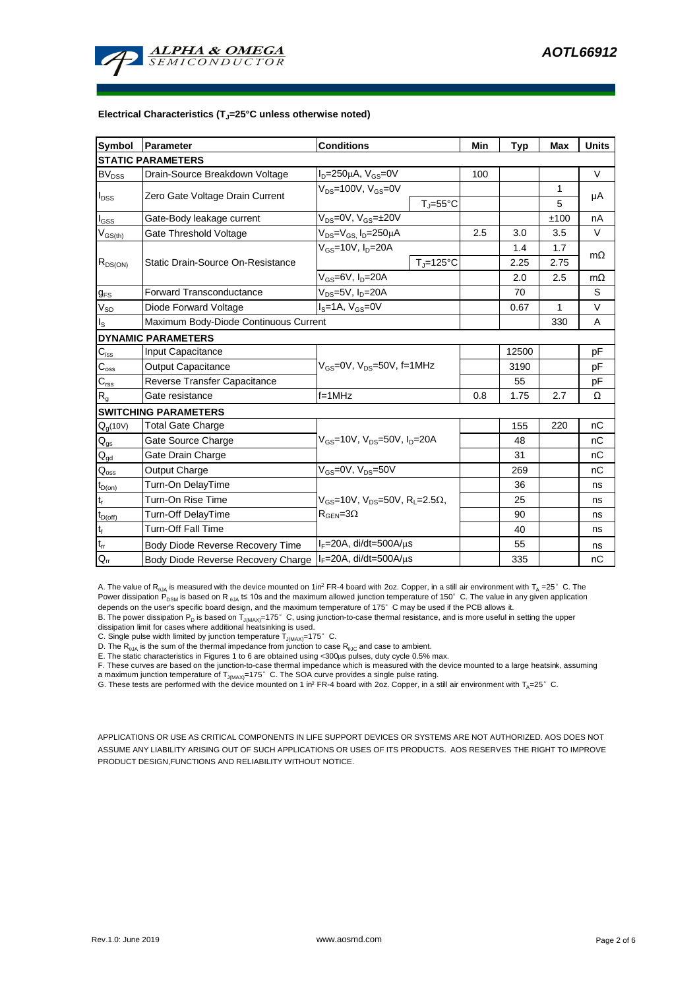

#### **Electrical Characteristics (TJ=25°C unless otherwise noted)**

| <b>Symbol</b>               | Parameter                                | <b>Conditions</b>                                                                          | Min                   | <b>Typ</b> | <b>Max</b> | <b>Units</b> |           |  |  |
|-----------------------------|------------------------------------------|--------------------------------------------------------------------------------------------|-----------------------|------------|------------|--------------|-----------|--|--|
| <b>STATIC PARAMETERS</b>    |                                          |                                                                                            |                       |            |            |              |           |  |  |
| $BV_{DSS}$                  | Drain-Source Breakdown Voltage           | $I_D = 250 \mu A$ , $V_{GS} = 0V$                                                          |                       | 100        |            |              | $\vee$    |  |  |
| $I_{DSS}$                   | Zero Gate Voltage Drain Current          | $V_{DS}$ =100V, $V_{GS}$ =0V                                                               |                       |            |            | 1            | μA        |  |  |
|                             |                                          |                                                                                            | $T_J = 55^{\circ}C$   |            |            | 5            |           |  |  |
| $I_{GSS}$                   | Gate-Body leakage current                | $V_{DS} = 0V$ , $V_{GS} = \pm 20V$                                                         |                       |            |            | ±100         | nA        |  |  |
| $V_{GS(th)}$                | Gate Threshold Voltage                   | V <sub>DS</sub> =V <sub>GS.</sub> I <sub>D</sub> =250µA                                    |                       | 2.5        | 3.0        | 3.5          | V         |  |  |
|                             |                                          | $V_{GS}$ =10V, $I_D$ =20A                                                                  |                       |            | 1.4        | 1.7          |           |  |  |
| $R_{DS(ON)}$                | <b>Static Drain-Source On-Resistance</b> |                                                                                            | $T_{\text{J}}$ =125°C |            | 2.25       | 2.75         | $m\Omega$ |  |  |
|                             |                                          | $V_{GS}$ =6V, $I_D$ =20A                                                                   |                       |            | 2.0        | 2.5          | $m\Omega$ |  |  |
| $g_{FS}$                    | <b>Forward Transconductance</b>          | V <sub>DS</sub> =5V, I <sub>D</sub> =20A                                                   |                       |            | 70         |              | S         |  |  |
| $V_{SD}$                    | Diode Forward Voltage                    | $I_S = 1A$ , $V_{GS} = 0V$                                                                 |                       |            | 0.67       | $\mathbf{1}$ | $\vee$    |  |  |
| $I_{\rm S}$                 | Maximum Body-Diode Continuous Current    |                                                                                            |                       |            |            | 330          | A         |  |  |
|                             | <b>DYNAMIC PARAMETERS</b>                |                                                                                            |                       |            |            |              |           |  |  |
| $C_{\text{iss}}$            | Input Capacitance                        | $V_{GS}$ =0V, $V_{DS}$ =50V, f=1MHz                                                        |                       |            | 12500      |              | pF        |  |  |
| $\mathsf{C}_{\mathrm{oss}}$ | <b>Output Capacitance</b>                |                                                                                            |                       |            | 3190       |              | рF        |  |  |
| $C_{\text{rss}}$            | Reverse Transfer Capacitance             |                                                                                            |                       |            | 55         |              | pF        |  |  |
| $R_{g}$                     | Gate resistance                          | $f = 1$ MHz                                                                                |                       | 0.8        | 1.75       | 2.7          | Ω         |  |  |
|                             | <b>SWITCHING PARAMETERS</b>              |                                                                                            |                       |            |            |              |           |  |  |
| $Q_q(10V)$                  | <b>Total Gate Charge</b>                 | $V_{GS}$ =10V, $V_{DS}$ =50V, $I_{D}$ =20A                                                 |                       |            | 155        | 220          | nC        |  |  |
| $\mathsf{Q}_{\mathsf{gs}}$  | Gate Source Charge                       |                                                                                            |                       |            | 48         |              | nC        |  |  |
| $Q_{gd}$                    | Gate Drain Charge                        |                                                                                            |                       |            | 31         |              | nC        |  |  |
| $\mathsf{Q}_{\text{oss}}$   | Output Charge                            | $V_{GS}$ =0V, $V_{DS}$ =50V                                                                |                       |            | 269        |              | nC        |  |  |
| $t_{D(on)}$                 | Turn-On DelayTime                        |                                                                                            |                       |            | 36         |              | ns        |  |  |
| $t_{\rm r}$                 | Turn-On Rise Time                        | $V_{GS}$ =10V, $V_{DS}$ =50V, R <sub>1</sub> =2.5 $\Omega$ ,<br>$R_{\text{GEN}} = 3\Omega$ |                       |            | 25         |              | ns        |  |  |
| $t_{D(off)}$                | <b>Turn-Off DelayTime</b>                |                                                                                            |                       |            | 90         |              | ns        |  |  |
| t <sub>f</sub>              | <b>Turn-Off Fall Time</b>                |                                                                                            |                       |            | 40         |              | ns        |  |  |
| $\mathfrak{t}_{\text{rr}}$  | Body Diode Reverse Recovery Time         | $I_F = 20A$ , di/dt=500A/ $\mu$ s                                                          |                       |            | 55         |              | ns        |  |  |
| $Q_{rr}$                    | Body Diode Reverse Recovery Charge       | $I_F = 20A$ , di/dt=500A/ $\mu$ s                                                          |                       |            | 335        |              | nC        |  |  |

A. The value of R<sub>6JA</sub> is measured with the device mounted on 1in<sup>2</sup> FR-4 board with 2oz. Copper, in a still air environment with T<sub>A</sub> =25° C. The Power dissipation P<sub>DSM</sub> is based on R <sub>6JA</sub> t≤ 10s and the maximum allowed junction temperature of 150°C. The value in any given application depends on the user's specific board design, and the maximum temperature of 175°C may be used if the PCB allows it.

B. The power dissipation P<sub>D</sub> is based on T<sub>J(MAX)</sub>=175°C, using junction-to-case thermal resistance, and is more useful in setting the upper dissipation limit for cases where additional heatsinking is used.

C. Single pulse width limited by junction temperature  $T_{J(MAX)}$ =175°C.

D. The  $R_{AJA}$  is the sum of the thermal impedance from junction to case  $R_{AIC}$  and case to ambient.

E. The static characteristics in Figures 1 to 6 are obtained using <300us pulses, duty cycle 0.5% max.

F. These curves are based on the junction-to-case thermal impedance which is measured with the device mounted to a large heatsink, assuming a maximum junction temperature of  $T_{J(MAX)}$ =175° C. The SOA curve provides a single pulse rating.

G. These tests are performed with the device mounted on 1 in<sup>2</sup> FR-4 board with 2oz. Copper, in a still air environment with  $T_A=25^\circ$  C.

APPLICATIONS OR USE AS CRITICAL COMPONENTS IN LIFE SUPPORT DEVICES OR SYSTEMS ARE NOT AUTHORIZED. AOS DOES NOT ASSUME ANY LIABILITY ARISING OUT OF SUCH APPLICATIONS OR USES OF ITS PRODUCTS. AOS RESERVES THE RIGHT TO IMPROVE PRODUCT DESIGN,FUNCTIONS AND RELIABILITY WITHOUT NOTICE.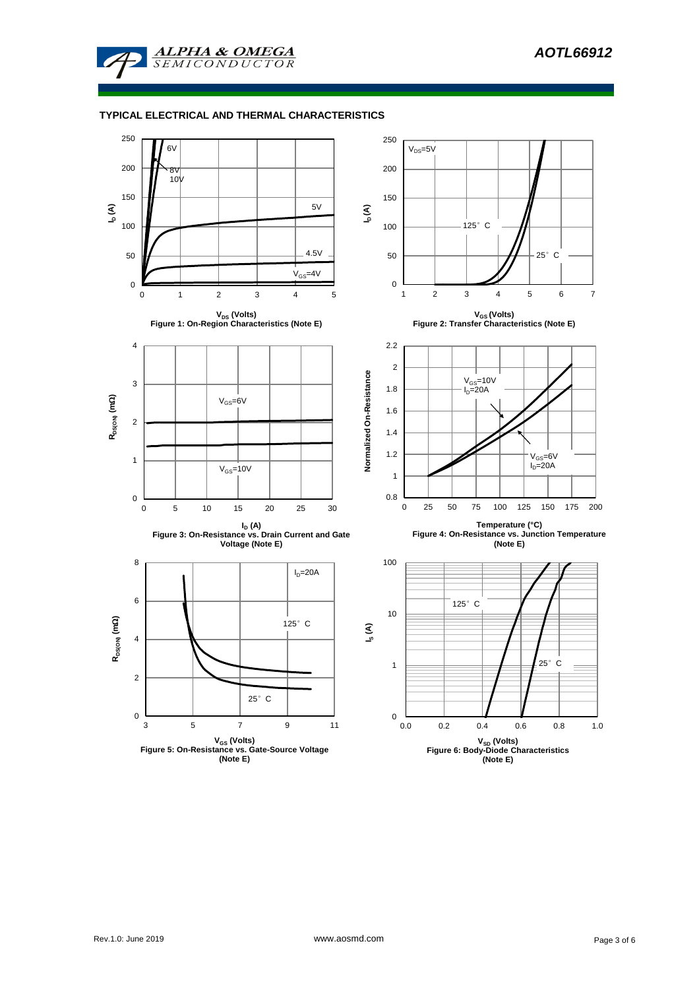

### **TYPICAL ELECTRICAL AND THERMAL CHARACTERISTICS**

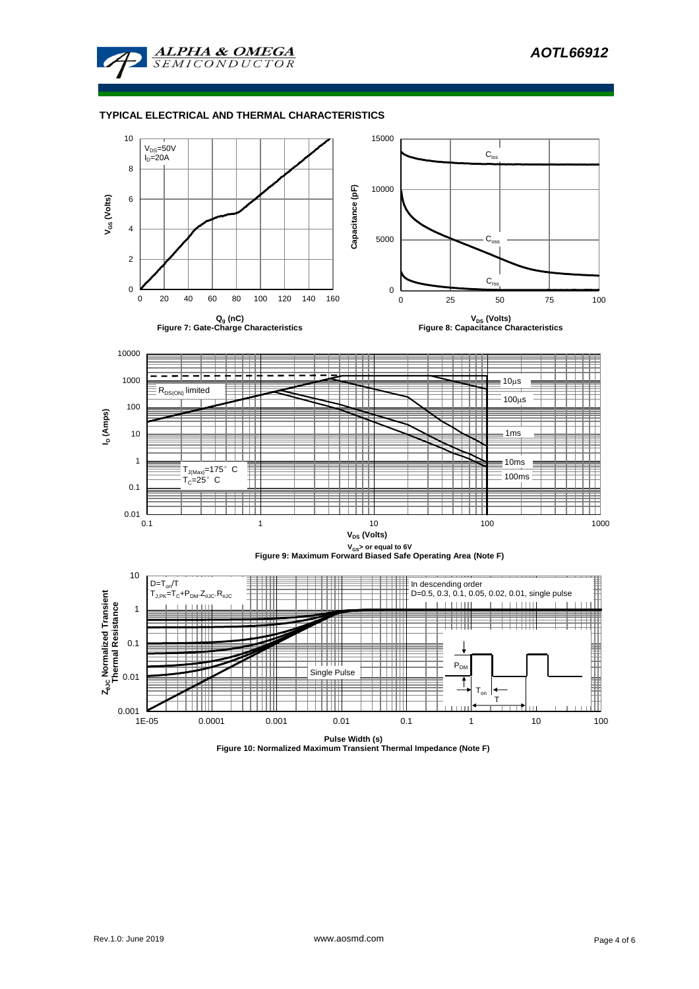

### **TYPICAL ELECTRICAL AND THERMAL CHARACTERISTICS**



**Figure 10: Normalized Maximum Transient Thermal Impedance (Note F)**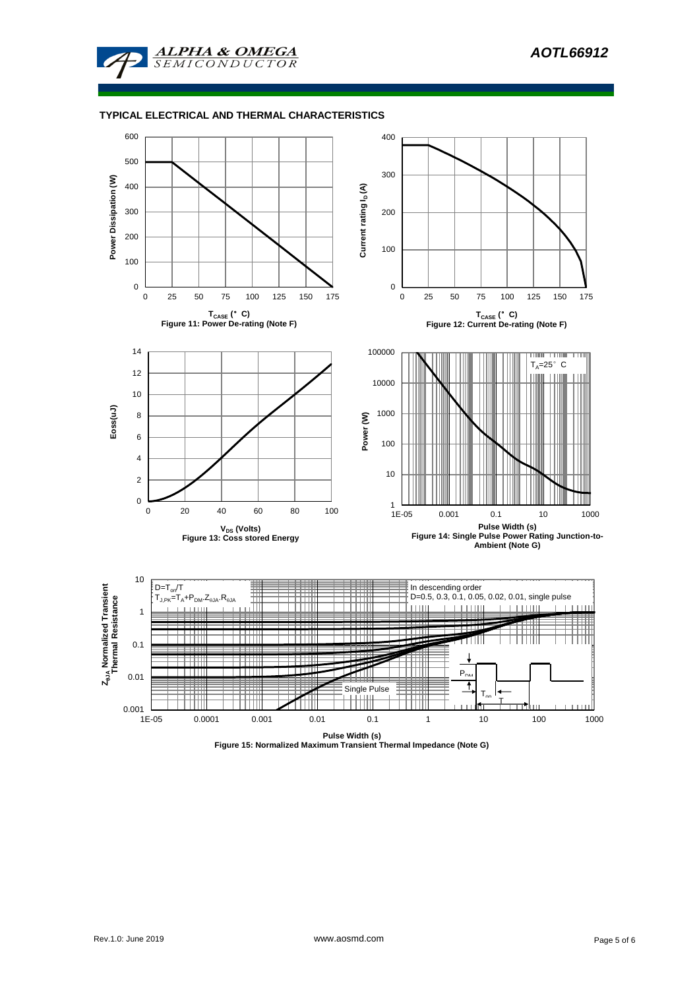

#### **TYPICAL ELECTRICAL AND THERMAL CHARACTERISTICS**



**Figure 15: Normalized Maximum Transient Thermal Impedance (Note G)**